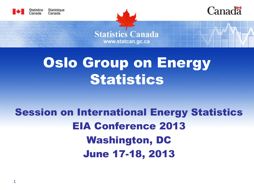





**Statistics Canada** www.statcan.gc.ca

# Oslo Group on Energy **Statistics**

#### Session on International Energy Statistics EIA Conference 2013 Washington, DC June 17-18, 2013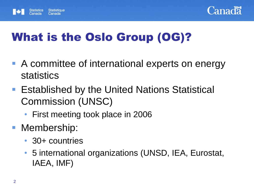



### What is the Oslo Group (OG)?

- A committee of international experts on energy statistics
- **Established by the United Nations Statistical** Commission (UNSC)
	- First meeting took place in 2006
- **Membership:** 
	- 30+ countries
	- 5 international organizations (UNSD, IEA, Eurostat, IAEA, IMF)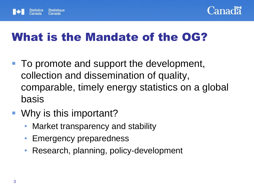



#### What is the Mandate of the OG?

- To promote and support the development, collection and dissemination of quality, comparable, timely energy statistics on a global basis
- Why is this important?
	- Market transparency and stability
	- Emergency preparedness
	- Research, planning, policy-development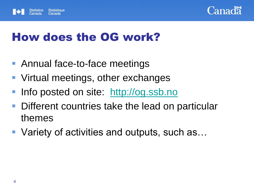



#### How does the OG work?

- Annual face-to-face meetings
- **Virtual meetings, other exchanges**
- Info posted on site: [http://og.ssb.no](http://og.ssb.no/)
- Different countries take the lead on particular themes
- Variety of activities and outputs, such as...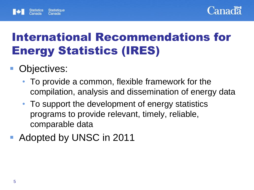



### International Recommendations for Energy Statistics (IRES)

#### Objectives:

- To provide a common, flexible framework for the compilation, analysis and dissemination of energy data
- To support the development of energy statistics programs to provide relevant, timely, reliable, comparable data
- Adopted by UNSC in 2011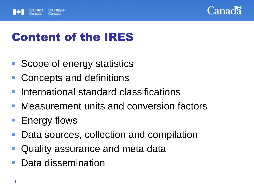



#### Content of the IRES

- Scope of energy statistics
- Concepts and definitions
- **International standard classifications**
- Measurement units and conversion factors
- Energy flows
- Data sources, collection and compilation
- Quality assurance and meta data
- Data dissemination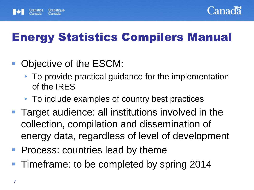



## Energy Statistics Compilers Manual

- Objective of the ESCM:
	- To provide practical guidance for the implementation of the IRES
	- To include examples of country best practices
- **Target audience: all institutions involved in the** collection, compilation and dissemination of energy data, regardless of level of development
- **Process: countries lead by theme**
- Timeframe: to be completed by spring 2014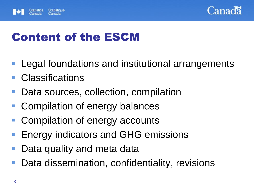



#### Content of the ESCM

- Legal foundations and institutional arrangements
- **Classifications**
- Data sources, collection, compilation
- Compilation of energy balances
- Compilation of energy accounts
- **Energy indicators and GHG emissions**
- Data quality and meta data
- Data dissemination, confidentiality, revisions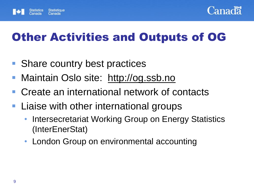



#### Other Activities and Outputs of OG

- Share country best practices
- Maintain Oslo site: http://og.ssb.no
- Create an international network of contacts
- **Liaise with other international groups** 
	- Intersecretariat Working Group on Energy Statistics (InterEnerStat)
	- London Group on environmental accounting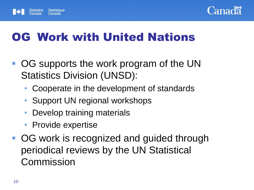



#### OG Work with United Nations

- OG supports the work program of the UN Statistics Division (UNSD):
	- Cooperate in the development of standards
	- Support UN regional workshops
	- Develop training materials
	- Provide expertise
- OG work is recognized and guided through periodical reviews by the UN Statistical Commission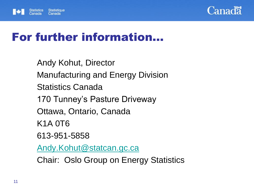



#### For further information…

Andy Kohut, Director Manufacturing and Energy Division Statistics Canada 170 Tunney's Pasture Driveway Ottawa, Ontario, Canada K1A 0T6 613-951-5858 [Andy.Kohut@statcan.gc.ca](mailto:Andy.Kohut@statcan.gc.ca) Chair: Oslo Group on Energy Statistics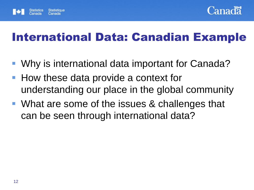



#### International Data: Canadian Example

- Why is international data important for Canada?
- How these data provide a context for understanding our place in the global community
- What are some of the issues & challenges that can be seen through international data?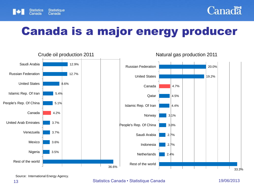



#### Canada is a major energy producer



Source: International Energy Agency.

#### 13 **13** Statistics Canada • Statistique Canada 19/06/2013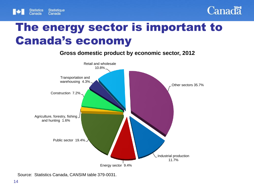



#### The energy sector is important to Canada's economy

**Gross domestic product by economic sector, 2012**



Source: Statistics Canada, CANSIM table 379-0031.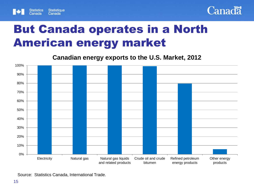



#### But Canada operates in a North American energy market

**Canadian energy exports to the U.S. Market, 2012**



Source: Statistics Canada, International Trade.